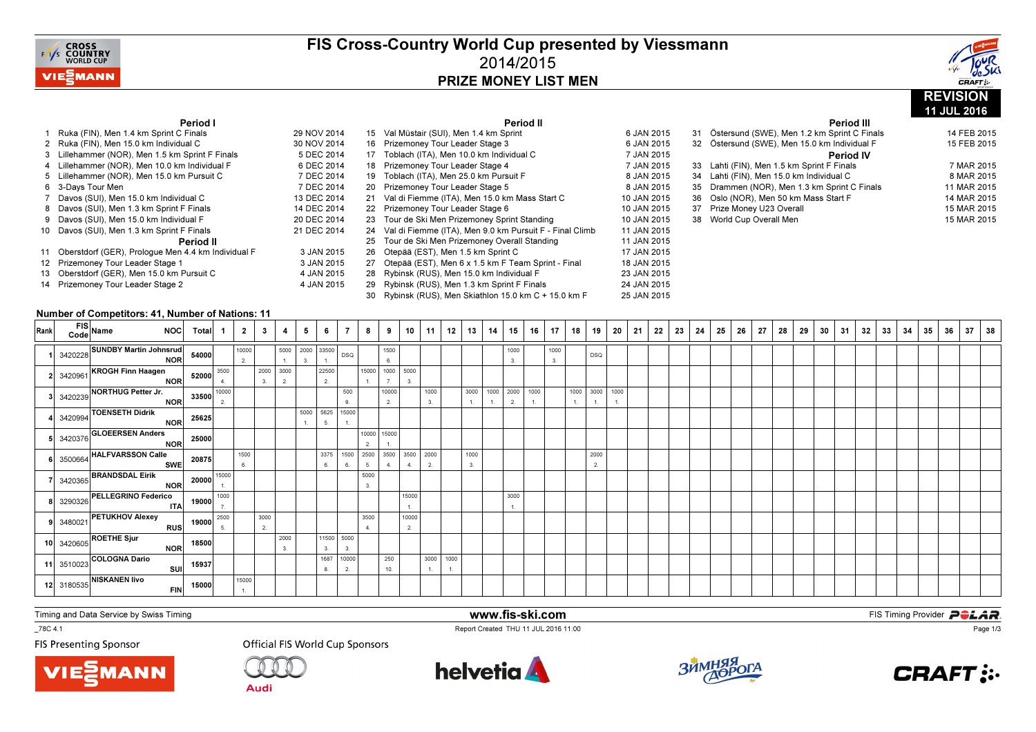

### FIS Cross-Country World Cup presented by Viessmann2014/2015PRIZE MONEY LIST MEN

Period II



11 JUL 2016

Period III

### Period I

| Ruka (FIN), Men 1.4 km Sprint C Finals                | 29 NOV 2014 | 15 Val Müstair (SUI), Men 1.4 km Sprint                    | 6 JAN 2015  | 31 | Östersund (SWE), Men 1.2 km Sprint C Finals  | 14 FEB 2015 |
|-------------------------------------------------------|-------------|------------------------------------------------------------|-------------|----|----------------------------------------------|-------------|
| 2 Ruka (FIN), Men 15.0 km Individual C                | 30 NOV 2014 | 16 Prizemoney Tour Leader Stage 3                          | 6 JAN 2015  |    | 32 Östersund (SWE), Men 15.0 km Individual F | 15 FEB 2015 |
| 3 Lillehammer (NOR), Men 1.5 km Sprint F Finals       | 5 DEC 2014  | 17 Toblach (ITA), Men 10.0 km Individual C                 | 7 JAN 2015  |    | <b>Period IV</b>                             |             |
| 4 Lillehammer (NOR). Men 10.0 km Individual F         | 6 DEC 2014  | 18 Prizemoney Tour Leader Stage 4                          | 7 JAN 2015  |    | 33 Lahti (FIN), Men 1.5 km Sprint F Finals   | 7 MAR 2015  |
| 5 Lillehammer (NOR), Men 15.0 km Pursuit C            | 7 DEC 2014  | 19 Toblach (ITA), Men 25.0 km Pursuit F                    | 8 JAN 2015  |    | 34 Lahti (FIN), Men 15.0 km Individual C     | 8 MAR 2015  |
| 6 3-Davs Tour Men                                     | 7 DEC 2014  | 20 Prizemoney Tour Leader Stage 5                          | 8 JAN 2015  |    | 35 Drammen (NOR), Men 1.3 km Sprint C Finals | 11 MAR 2015 |
| 7 Davos (SUI), Men 15.0 km Individual C               | 13 DEC 2014 | 21 Val di Fiemme (ITA), Men 15.0 km Mass Start C           | 10 JAN 2015 |    | 36 Oslo (NOR). Men 50 km Mass Start F        | 14 MAR 2015 |
| 8 Davos (SUI), Men 1.3 km Sprint F Finals             | 14 DEC 2014 | 22 Prizemoney Tour Leader Stage 6                          | 10 JAN 2015 |    | 37 Prize Money U23 Overall                   | 15 MAR 2015 |
| 9 Davos (SUI), Men 15.0 km Individual F               | 20 DEC 2014 | 23 Tour de Ski Men Prizemoney Sprint Standing              | 10 JAN 2015 |    | 38 World Cup Overall Men                     | 15 MAR 2015 |
| 10 Davos (SUI), Men 1.3 km Sprint F Finals            | 21 DEC 2014 | 24 Val di Fiemme (ITA), Men 9.0 km Pursuit F - Final Climb | 11 JAN 2015 |    |                                              |             |
| <b>Period II</b>                                      |             | 25 Tour de Ski Men Prizemoney Overall Standing             | 11 JAN 2015 |    |                                              |             |
| 11 Oberstdorf (GER), Prologue Men 4.4 km Individual F | 3 JAN 2015  | 26 Otepää (EST), Men 1.5 km Sprint C                       | 17 JAN 2015 |    |                                              |             |
| 12 Prizemoney Tour Leader Stage 1                     | 3 JAN 2015  | 27 Otepää (EST), Men 6 x 1.5 km F Team Sprint - Final      | 18 JAN 2015 |    |                                              |             |
| 13 Oberstdorf (GER), Men 15.0 km Pursuit C            | 4 JAN 2015  | 28 Rybinsk (RUS), Men 15.0 km Individual F                 | 23 JAN 2015 |    |                                              |             |
| 14 Prizemoney Tour Leader Stage 2                     | 4 JAN 2015  | 29 Rybinsk (RUS), Men 1.3 km Sprint F Finals               | 24 JAN 2015 |    |                                              |             |
|                                                       |             | 30 Rybinsk (RUS), Men Skiathlon 15.0 km C + 15.0 km F      | 25 JAN 2015 |    |                                              |             |

#### Number of Competitors: 41, Number of Nations: 11

| Rank |            | FIS Name NOC Total                                                                                                                                                     |                        | $\mathbf{1}$ | $\overline{2}$ | $\mathbf{3}$             |                                 | 5  | 6                | $\overline{7}$ | 8                         | 9                     | 10             | 11 <sup>1</sup> | 12 | 13         | 14             | 15   | 16         | 17         | 18           | 19                     | 20 | 21 | 22 | 23 | 24 | 25 | 26 | 27 | 28 | 29 | 30 | 31 | 32 | 33 | 34 | 35 | 36 | 37 | 38 |
|------|------------|------------------------------------------------------------------------------------------------------------------------------------------------------------------------|------------------------|--------------|----------------|--------------------------|---------------------------------|----|------------------|----------------|---------------------------|-----------------------|----------------|-----------------|----|------------|----------------|------|------------|------------|--------------|------------------------|----|----|----|----|----|----|----|----|----|----|----|----|----|----|----|----|----|----|----|
|      |            | 1 3420228 SUNDBY Martin Johnsrud 54000                                                                                                                                 |                        |              | 10000<br>2     |                          | 5000 2000 33500<br>$\mathbf{1}$ | 3. | $-1$ .           | DSQ            |                           | 1500<br>6.            |                |                 |    |            |                | 1000 |            | 1000<br>3. |              | DSQ                    |    |    |    |    |    |    |    |    |    |    |    |    |    |    |    |    |    |    |    |
|      |            |                                                                                                                                                                        |                        |              |                | 2000 3000<br>3.          | 2.                              |    | 22500<br>2.      |                | 1.                        | 15000 1000 5000<br>7. | 3.             |                 |    |            |                |      |            |            |              |                        |    |    |    |    |    |    |    |    |    |    |    |    |    |    |    |    |    |    |    |
|      |            |                                                                                                                                                                        |                        |              |                |                          |                                 |    |                  | 500<br>9.      |                           | 10000<br>2.           |                | 1000<br>3.      |    |            | 3000 1000 2000 | 2.   | 1000<br>1. |            | $\mathbf{1}$ | 1000 3000 1000         |    |    |    |    |    |    |    |    |    |    |    |    |    |    |    |    |    |    |    |
|      |            | 2 3420961 KROGH Finn Haagen<br>3420239 NORTHUG Petter Jr.<br>3420239 NORTHUG Petter Jr.<br>33500 10000<br>4 3420994 TOENSETH Didrik<br>NOR 25625                       |                        |              |                |                          |                                 |    | 5000 5625<br>5.  | 15000          |                           |                       |                |                 |    |            |                |      |            |            |              |                        |    |    |    |    |    |    |    |    |    |    |    |    |    |    |    |    |    |    |    |
|      | 3420376    | GLOEERSEN Anders<br>NOR 25000                                                                                                                                          |                        |              |                |                          |                                 |    |                  |                | 10000 15000<br>2.         |                       |                |                 |    |            |                |      |            |            |              |                        |    |    |    |    |    |    |    |    |    |    |    |    |    |    |    |    |    |    |    |
|      |            | 3500664 HALFVARSSON Calle<br>3420365 BRANDSDAL Eirik<br>NOR 20000 15000                                                                                                |                        |              | 1500<br>6.     |                          |                                 |    | 3375<br>6.       | 1500<br>6.     | 2500 3500 3500 2000<br>5. | 4.                    | $\overline{4}$ | 2.              |    | 1000<br>3. |                |      |            |            |              | 2000<br>$\overline{2}$ |    |    |    |    |    |    |    |    |    |    |    |    |    |    |    |    |    |    |    |
|      |            |                                                                                                                                                                        |                        |              |                |                          |                                 |    |                  |                | 5000<br>3.                |                       |                |                 |    |            |                |      |            |            |              |                        |    |    |    |    |    |    |    |    |    |    |    |    |    |    |    |    |    |    |    |
|      |            |                                                                                                                                                                        |                        |              |                |                          |                                 |    |                  |                |                           |                       | 15000          |                 |    |            |                | 3000 |            |            |              |                        |    |    |    |    |    |    |    |    |    |    |    |    |    |    |    |    |    |    |    |
|      |            | 3480021 PETUKHOV Alexey                                                                                                                                                |                        |              |                | 3000<br>$\overline{2}$ . |                                 |    |                  |                | 3500<br>4.                |                       | 10000<br>2.    |                 |    |            |                |      |            |            |              |                        |    |    |    |    |    |    |    |    |    |    |    |    |    |    |    |    |    |    |    |
|      |            | 3290326 PELLEGRINO Federico<br>17 19000 1000<br>3480021 PETUKHOV Alexey<br>RUS 19000 <sup>2500</sup><br>3420605 ROETHE Sjur<br>COLOCNA Doria<br>10 3420605 ROETHE Sjur |                        |              |                |                          | 2000<br>3.                      |    | 11500 5000<br>3. | 3.             |                           |                       |                |                 |    |            |                |      |            |            |              |                        |    |    |    |    |    |    |    |    |    |    |    |    |    |    |    |    |    |    |    |
|      | 11 3510023 | 3 <sup>COLOGNA Dario</sup>                                                                                                                                             | SUI 15937<br>FIN 15000 |              |                |                          |                                 |    | 1687<br>8.       | 10000<br>2.    |                           | 250<br>10.            |                | 3000 1000<br>1. |    |            |                |      |            |            |              |                        |    |    |    |    |    |    |    |    |    |    |    |    |    |    |    |    |    |    |    |
|      |            | 12 3180535 NISKANEN livo                                                                                                                                               |                        |              | 15000<br>1.    |                          |                                 |    |                  |                |                           |                       |                |                 |    |            |                |      |            |            |              |                        |    |    |    |    |    |    |    |    |    |    |    |    |    |    |    |    |    |    |    |

www.fis-ski.com

Report Created THU 11 JUL 2016 11:00

Timing and Data Service by Swiss Timing

 $-78C 4.1$ 

**FIS Presenting Sponsor** 





**Official FIS World Cup Sponsors** 





**m**<br>FIS Timing Provider<br>Is 11:00



Page 1/3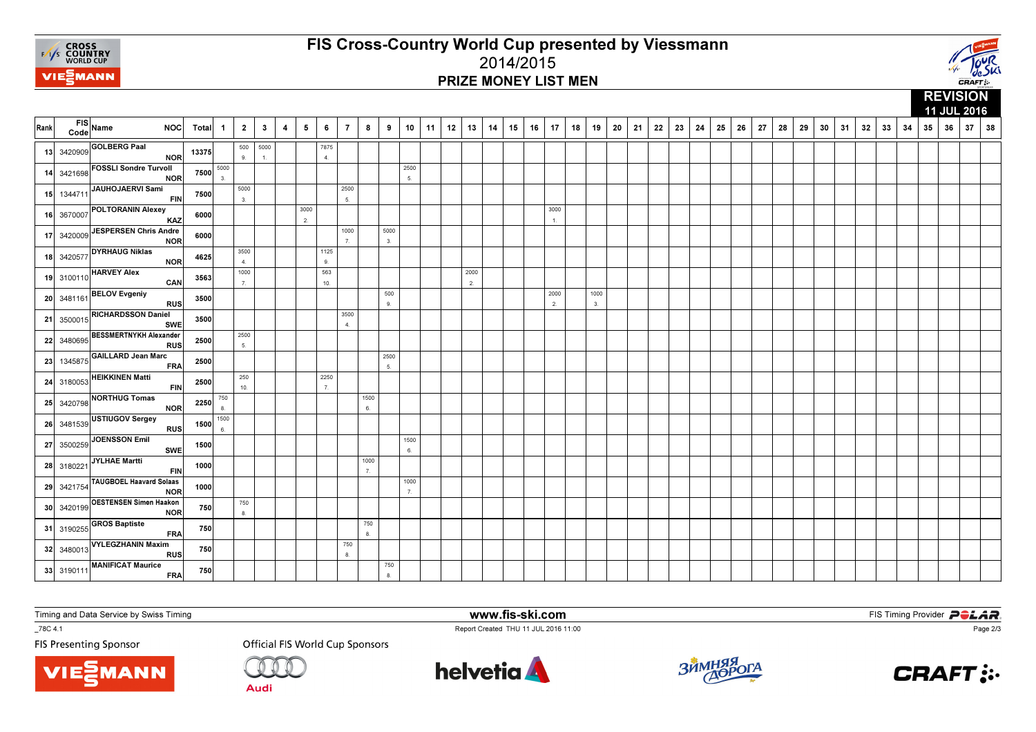

# FIS Cross-Country World Cup presented by Viessmann2014/2015PRIZE MONEY LIST MEN



|      |            |                                             |       |              |              |              |   |            |                          |                |            |                     |            |    |    |            |    |    |    |                      |    |            |    |    |    |    |    |    |    |    |    |    |    |    |    |    |    |    |    | 11 JUL 2016 |    |
|------|------------|---------------------------------------------|-------|--------------|--------------|--------------|---|------------|--------------------------|----------------|------------|---------------------|------------|----|----|------------|----|----|----|----------------------|----|------------|----|----|----|----|----|----|----|----|----|----|----|----|----|----|----|----|----|-------------|----|
| Rank | Code       | FIS Name<br><b>NOC</b>                      | Total | $\mathbf{1}$ | $\mathbf{2}$ | $\mathbf{3}$ | 4 | $\sqrt{5}$ | 6                        | $\overline{7}$ | 8          | 9                   | 10         | 11 | 12 | 13         | 14 | 15 | 16 | 17                   | 18 | 19         | 20 | 21 | 22 | 23 | 24 | 25 | 26 | 27 | 28 | 29 | 30 | 31 | 32 | 33 | 34 | 35 | 36 | 37          | 38 |
|      | 13 3420909 | <b>GOLBERG Paal</b><br><b>NOR</b>           | 13375 |              | 500<br>9.    | 5000<br>1.   |   |            | 7875<br>$\overline{4}$ . |                |            |                     |            |    |    |            |    |    |    |                      |    |            |    |    |    |    |    |    |    |    |    |    |    |    |    |    |    |    |    |             |    |
| 14   | 3421698    | <b>FOSSLI Sondre Turvoll</b><br><b>NOR</b>  | 7500  | 5000<br>3.   |              |              |   |            |                          |                |            |                     | 2500<br>5. |    |    |            |    |    |    |                      |    |            |    |    |    |    |    |    |    |    |    |    |    |    |    |    |    |    |    |             |    |
| 15   | 1344711    | JAUHOJAERVI Sami<br><b>FIN</b>              | 7500  |              | 5000<br>3.   |              |   |            |                          | 2500<br>5.     |            |                     |            |    |    |            |    |    |    |                      |    |            |    |    |    |    |    |    |    |    |    |    |    |    |    |    |    |    |    |             |    |
|      | 16 3670007 | <b>POLTORANIN Alexey</b><br>KAZ             | 6000  |              |              |              |   | 3000<br>2. |                          |                |            |                     |            |    |    |            |    |    |    | 3000<br>$\mathbf{1}$ |    |            |    |    |    |    |    |    |    |    |    |    |    |    |    |    |    |    |    |             |    |
| 17   | 3420009    | JESPERSEN Chris Andre<br><b>NOR</b>         | 6000  |              |              |              |   |            |                          | 1000<br>7.     |            | 5000<br>3.          |            |    |    |            |    |    |    |                      |    |            |    |    |    |    |    |    |    |    |    |    |    |    |    |    |    |    |    |             |    |
|      | 18 3420577 | <b>DYRHAUG Niklas</b><br><b>NOR</b>         | 4625  |              | 3500<br>4.   |              |   |            | 1125<br>9.               |                |            |                     |            |    |    |            |    |    |    |                      |    |            |    |    |    |    |    |    |    |    |    |    |    |    |    |    |    |    |    |             |    |
|      | 19 3100110 | <b>HARVEY Alex</b><br>CAN                   | 3563  |              | 1000<br>7.   |              |   |            | 563<br>10.               |                |            |                     |            |    |    | 2000<br>2. |    |    |    |                      |    |            |    |    |    |    |    |    |    |    |    |    |    |    |    |    |    |    |    |             |    |
|      | 20 3481161 | <b>BELOV Evgeniy</b><br><b>RUS</b>          | 3500  |              |              |              |   |            |                          |                |            | 500<br>$\mathbf{g}$ |            |    |    |            |    |    |    | 2000<br>2.           |    | 1000<br>3. |    |    |    |    |    |    |    |    |    |    |    |    |    |    |    |    |    |             |    |
| 21   | 3500015    | <b>RICHARDSSON Daniel</b><br><b>SWE</b>     | 3500  |              |              |              |   |            |                          | 3500<br>4.     |            |                     |            |    |    |            |    |    |    |                      |    |            |    |    |    |    |    |    |    |    |    |    |    |    |    |    |    |    |    |             |    |
|      | 22 3480695 | <b>BESSMERTNYKH Alexander</b><br><b>RUS</b> | 2500  |              | 2500<br>5.   |              |   |            |                          |                |            |                     |            |    |    |            |    |    |    |                      |    |            |    |    |    |    |    |    |    |    |    |    |    |    |    |    |    |    |    |             |    |
| 23   | 1345875    | GAILLARD Jean Marc<br><b>FRA</b>            | 2500  |              |              |              |   |            |                          |                |            | 2500<br>5.          |            |    |    |            |    |    |    |                      |    |            |    |    |    |    |    |    |    |    |    |    |    |    |    |    |    |    |    |             |    |
| 24   | 3180053    | <b>HEIKKINEN Matti</b><br><b>FIN</b>        | 2500  |              | 250<br>10.   |              |   |            | 2250<br>7.               |                |            |                     |            |    |    |            |    |    |    |                      |    |            |    |    |    |    |    |    |    |    |    |    |    |    |    |    |    |    |    |             |    |
|      | 25 3420798 | <b>NORTHUG Tomas</b><br><b>NOR</b>          | 2250  | 750<br>8.    |              |              |   |            |                          |                | 1500<br>6. |                     |            |    |    |            |    |    |    |                      |    |            |    |    |    |    |    |    |    |    |    |    |    |    |    |    |    |    |    |             |    |
|      | 26 3481539 | USTIUGOV Sergey<br><b>RUS</b>               | 1500  | 1500<br>6.   |              |              |   |            |                          |                |            |                     |            |    |    |            |    |    |    |                      |    |            |    |    |    |    |    |    |    |    |    |    |    |    |    |    |    |    |    |             |    |
|      | 27 3500259 | JOENSSON Emil<br><b>SWE</b>                 | 1500  |              |              |              |   |            |                          |                |            |                     | 1500<br>6. |    |    |            |    |    |    |                      |    |            |    |    |    |    |    |    |    |    |    |    |    |    |    |    |    |    |    |             |    |
|      | 28 3180221 | JYLHAE Martti<br><b>FIN</b>                 | 1000  |              |              |              |   |            |                          |                | 1000<br>7. |                     |            |    |    |            |    |    |    |                      |    |            |    |    |    |    |    |    |    |    |    |    |    |    |    |    |    |    |    |             |    |
|      | 29 3421754 | TAUGBOEL Haavard Solaas<br><b>NOR</b>       | 1000  |              |              |              |   |            |                          |                |            |                     | 1000<br>7. |    |    |            |    |    |    |                      |    |            |    |    |    |    |    |    |    |    |    |    |    |    |    |    |    |    |    |             |    |
|      | 30 3420199 | <b>OESTENSEN Simen Haakon</b><br><b>NOR</b> | 750   |              | 750<br>8.    |              |   |            |                          |                |            |                     |            |    |    |            |    |    |    |                      |    |            |    |    |    |    |    |    |    |    |    |    |    |    |    |    |    |    |    |             |    |
| 31   | 3190255    | <b>GROS Baptiste</b><br><b>FRA</b>          | 750   |              |              |              |   |            |                          |                | 750<br>8.  |                     |            |    |    |            |    |    |    |                      |    |            |    |    |    |    |    |    |    |    |    |    |    |    |    |    |    |    |    |             |    |
|      | 32 3480013 | <b>VYLEGZHANIN Maxim</b><br><b>RUS</b>      | 750   |              |              |              |   |            |                          | 750<br>8.      |            |                     |            |    |    |            |    |    |    |                      |    |            |    |    |    |    |    |    |    |    |    |    |    |    |    |    |    |    |    |             |    |
|      | 33 3190111 | <b>MANIFICAT Maurice</b><br><b>FRA</b>      | 750   |              |              |              |   |            |                          |                |            | 750<br>8.           |            |    |    |            |    |    |    |                      |    |            |    |    |    |    |    |    |    |    |    |    |    |    |    |    |    |    |    |             |    |

Timing and Data Service by Swiss Timing

MANN

 $-78C 4.1$ 

**FIS Presenting Sponsor** 

**Official FIS World Cup Sponsors** 

**Audi** 



www.fis-ski.com

Report Created THU 11 JUL 2016 11:00



**m**<br>FIS Timing Provider<br>Is 11:00



Page 2/3